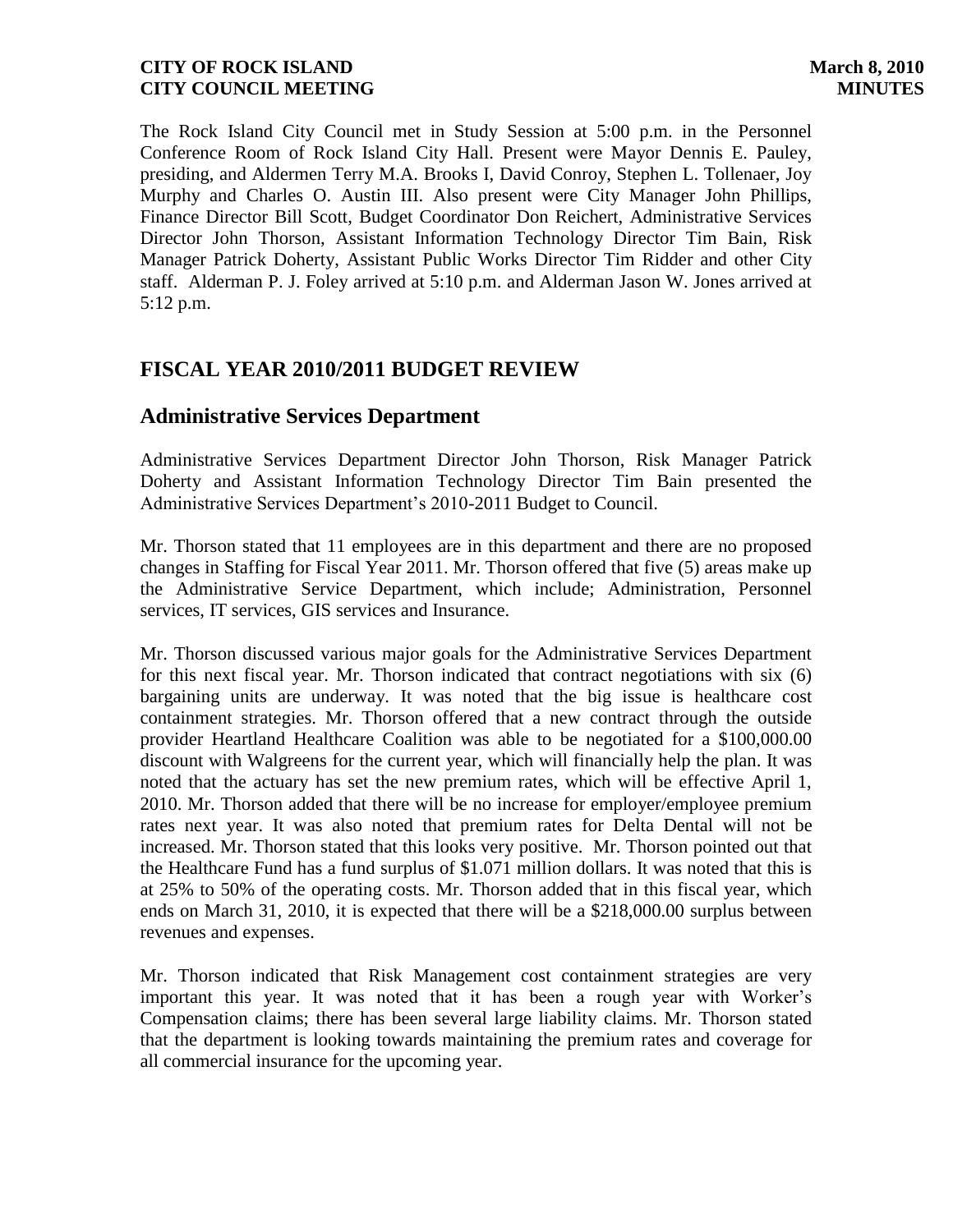The Rock Island City Council met in Study Session at 5:00 p.m. in the Personnel Conference Room of Rock Island City Hall. Present were Mayor Dennis E. Pauley, presiding, and Aldermen Terry M.A. Brooks I, David Conroy, Stephen L. Tollenaer, Joy Murphy and Charles O. Austin III. Also present were City Manager John Phillips, Finance Director Bill Scott, Budget Coordinator Don Reichert, Administrative Services Director John Thorson, Assistant Information Technology Director Tim Bain, Risk Manager Patrick Doherty, Assistant Public Works Director Tim Ridder and other City staff. Alderman P. J. Foley arrived at 5:10 p.m. and Alderman Jason W. Jones arrived at 5:12 p.m.

# **FISCAL YEAR 2010/2011 BUDGET REVIEW**

## **Administrative Services Department**

Administrative Services Department Director John Thorson, Risk Manager Patrick Doherty and Assistant Information Technology Director Tim Bain presented the Administrative Services Department's 2010-2011 Budget to Council.

Mr. Thorson stated that 11 employees are in this department and there are no proposed changes in Staffing for Fiscal Year 2011. Mr. Thorson offered that five (5) areas make up the Administrative Service Department, which include; Administration, Personnel services, IT services, GIS services and Insurance.

Mr. Thorson discussed various major goals for the Administrative Services Department for this next fiscal year. Mr. Thorson indicated that contract negotiations with six (6) bargaining units are underway. It was noted that the big issue is healthcare cost containment strategies. Mr. Thorson offered that a new contract through the outside provider Heartland Healthcare Coalition was able to be negotiated for a \$100,000.00 discount with Walgreens for the current year, which will financially help the plan. It was noted that the actuary has set the new premium rates, which will be effective April 1, 2010. Mr. Thorson added that there will be no increase for employer/employee premium rates next year. It was also noted that premium rates for Delta Dental will not be increased. Mr. Thorson stated that this looks very positive. Mr. Thorson pointed out that the Healthcare Fund has a fund surplus of \$1.071 million dollars. It was noted that this is at 25% to 50% of the operating costs. Mr. Thorson added that in this fiscal year, which ends on March 31, 2010, it is expected that there will be a \$218,000.00 surplus between revenues and expenses.

Mr. Thorson indicated that Risk Management cost containment strategies are very important this year. It was noted that it has been a rough year with Worker's Compensation claims; there has been several large liability claims. Mr. Thorson stated that the department is looking towards maintaining the premium rates and coverage for all commercial insurance for the upcoming year.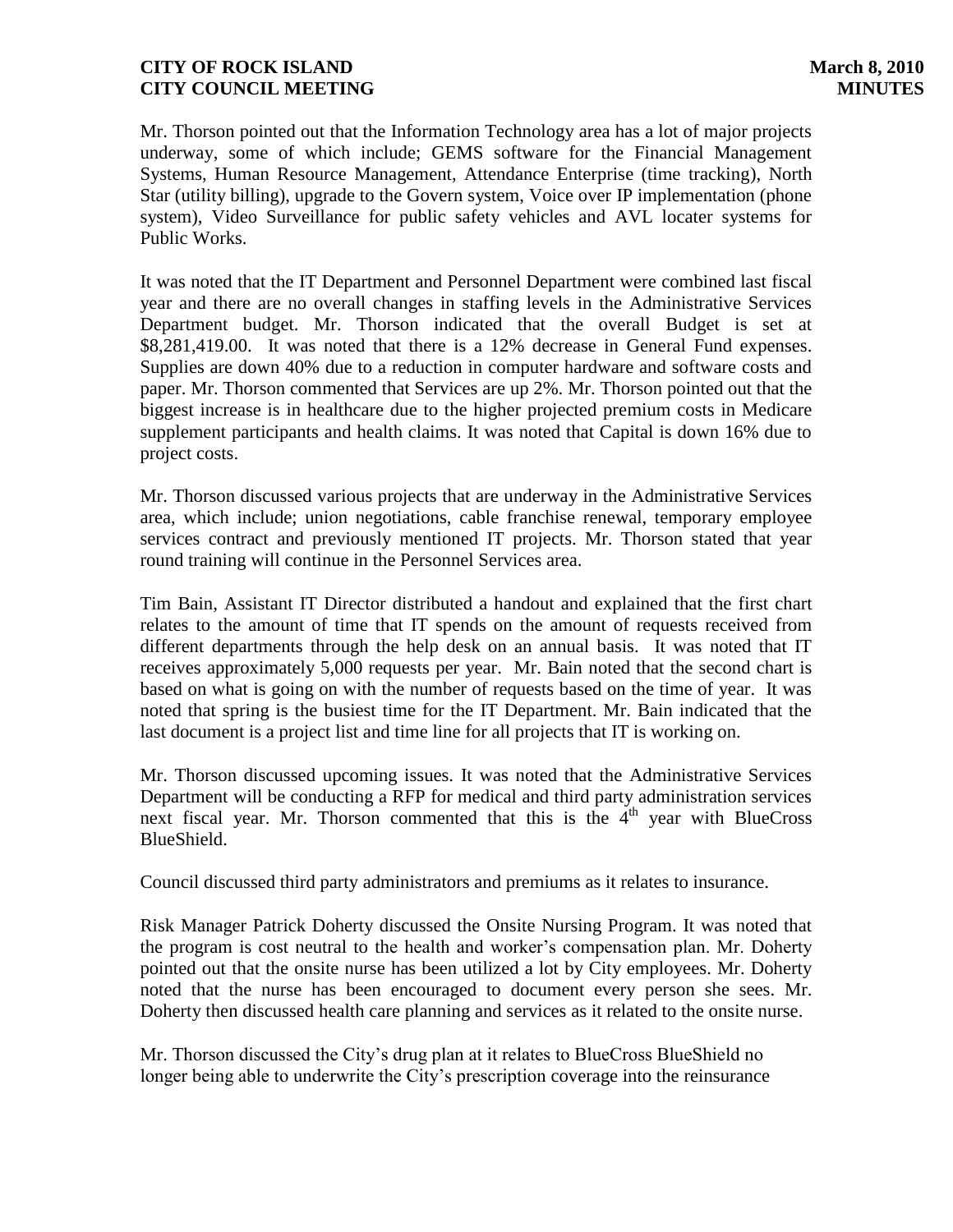Mr. Thorson pointed out that the Information Technology area has a lot of major projects underway, some of which include; GEMS software for the Financial Management Systems, Human Resource Management, Attendance Enterprise (time tracking), North Star (utility billing), upgrade to the Govern system, Voice over IP implementation (phone system), Video Surveillance for public safety vehicles and AVL locater systems for Public Works.

It was noted that the IT Department and Personnel Department were combined last fiscal year and there are no overall changes in staffing levels in the Administrative Services Department budget. Mr. Thorson indicated that the overall Budget is set at \$8,281,419.00. It was noted that there is a 12% decrease in General Fund expenses. Supplies are down 40% due to a reduction in computer hardware and software costs and paper. Mr. Thorson commented that Services are up 2%. Mr. Thorson pointed out that the biggest increase is in healthcare due to the higher projected premium costs in Medicare supplement participants and health claims. It was noted that Capital is down 16% due to project costs.

Mr. Thorson discussed various projects that are underway in the Administrative Services area, which include; union negotiations, cable franchise renewal, temporary employee services contract and previously mentioned IT projects. Mr. Thorson stated that year round training will continue in the Personnel Services area.

Tim Bain, Assistant IT Director distributed a handout and explained that the first chart relates to the amount of time that IT spends on the amount of requests received from different departments through the help desk on an annual basis. It was noted that IT receives approximately 5,000 requests per year. Mr. Bain noted that the second chart is based on what is going on with the number of requests based on the time of year. It was noted that spring is the busiest time for the IT Department. Mr. Bain indicated that the last document is a project list and time line for all projects that IT is working on.

Mr. Thorson discussed upcoming issues. It was noted that the Administrative Services Department will be conducting a RFP for medical and third party administration services next fiscal year. Mr. Thorson commented that this is the  $4<sup>th</sup>$  year with BlueCross BlueShield.

Council discussed third party administrators and premiums as it relates to insurance.

Risk Manager Patrick Doherty discussed the Onsite Nursing Program. It was noted that the program is cost neutral to the health and worker's compensation plan. Mr. Doherty pointed out that the onsite nurse has been utilized a lot by City employees. Mr. Doherty noted that the nurse has been encouraged to document every person she sees. Mr. Doherty then discussed health care planning and services as it related to the onsite nurse.

Mr. Thorson discussed the City's drug plan at it relates to BlueCross BlueShield no longer being able to underwrite the City's prescription coverage into the reinsurance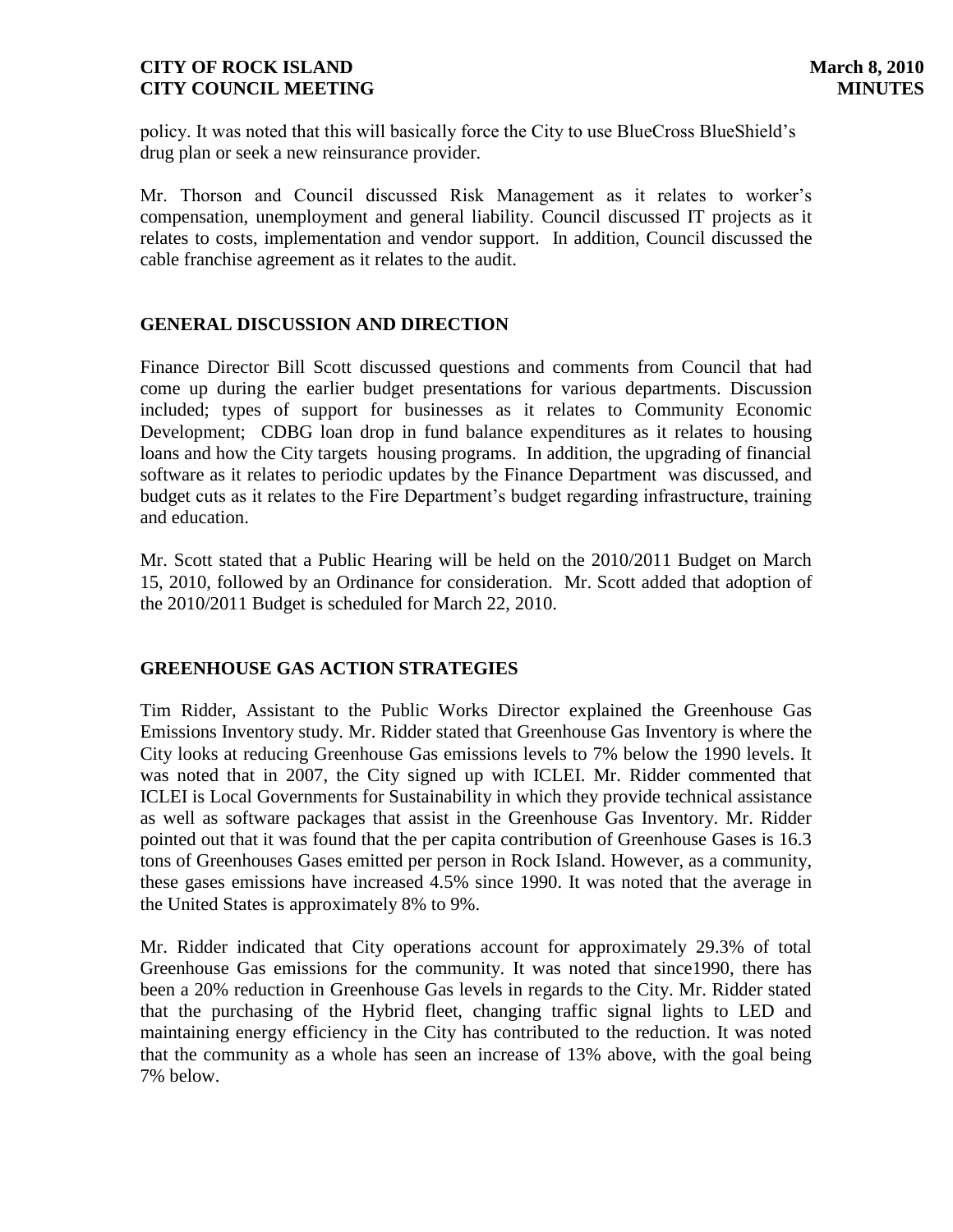policy. It was noted that this will basically force the City to use BlueCross BlueShield's drug plan or seek a new reinsurance provider.

Mr. Thorson and Council discussed Risk Management as it relates to worker's compensation, unemployment and general liability. Council discussed IT projects as it relates to costs, implementation and vendor support. In addition, Council discussed the cable franchise agreement as it relates to the audit.

## **GENERAL DISCUSSION AND DIRECTION**

Finance Director Bill Scott discussed questions and comments from Council that had come up during the earlier budget presentations for various departments. Discussion included; types of support for businesses as it relates to Community Economic Development; CDBG loan drop in fund balance expenditures as it relates to housing loans and how the City targets housing programs. In addition, the upgrading of financial software as it relates to periodic updates by the Finance Department was discussed, and budget cuts as it relates to the Fire Department's budget regarding infrastructure, training and education.

Mr. Scott stated that a Public Hearing will be held on the 2010/2011 Budget on March 15, 2010, followed by an Ordinance for consideration. Mr. Scott added that adoption of the 2010/2011 Budget is scheduled for March 22, 2010.

### **GREENHOUSE GAS ACTION STRATEGIES**

Tim Ridder, Assistant to the Public Works Director explained the Greenhouse Gas Emissions Inventory study. Mr. Ridder stated that Greenhouse Gas Inventory is where the City looks at reducing Greenhouse Gas emissions levels to 7% below the 1990 levels. It was noted that in 2007, the City signed up with ICLEI. Mr. Ridder commented that ICLEI is Local Governments for Sustainability in which they provide technical assistance as well as software packages that assist in the Greenhouse Gas Inventory. Mr. Ridder pointed out that it was found that the per capita contribution of Greenhouse Gases is 16.3 tons of Greenhouses Gases emitted per person in Rock Island. However, as a community, these gases emissions have increased 4.5% since 1990. It was noted that the average in the United States is approximately 8% to 9%.

Mr. Ridder indicated that City operations account for approximately 29.3% of total Greenhouse Gas emissions for the community. It was noted that since1990, there has been a 20% reduction in Greenhouse Gas levels in regards to the City. Mr. Ridder stated that the purchasing of the Hybrid fleet, changing traffic signal lights to LED and maintaining energy efficiency in the City has contributed to the reduction. It was noted that the community as a whole has seen an increase of 13% above, with the goal being 7% below.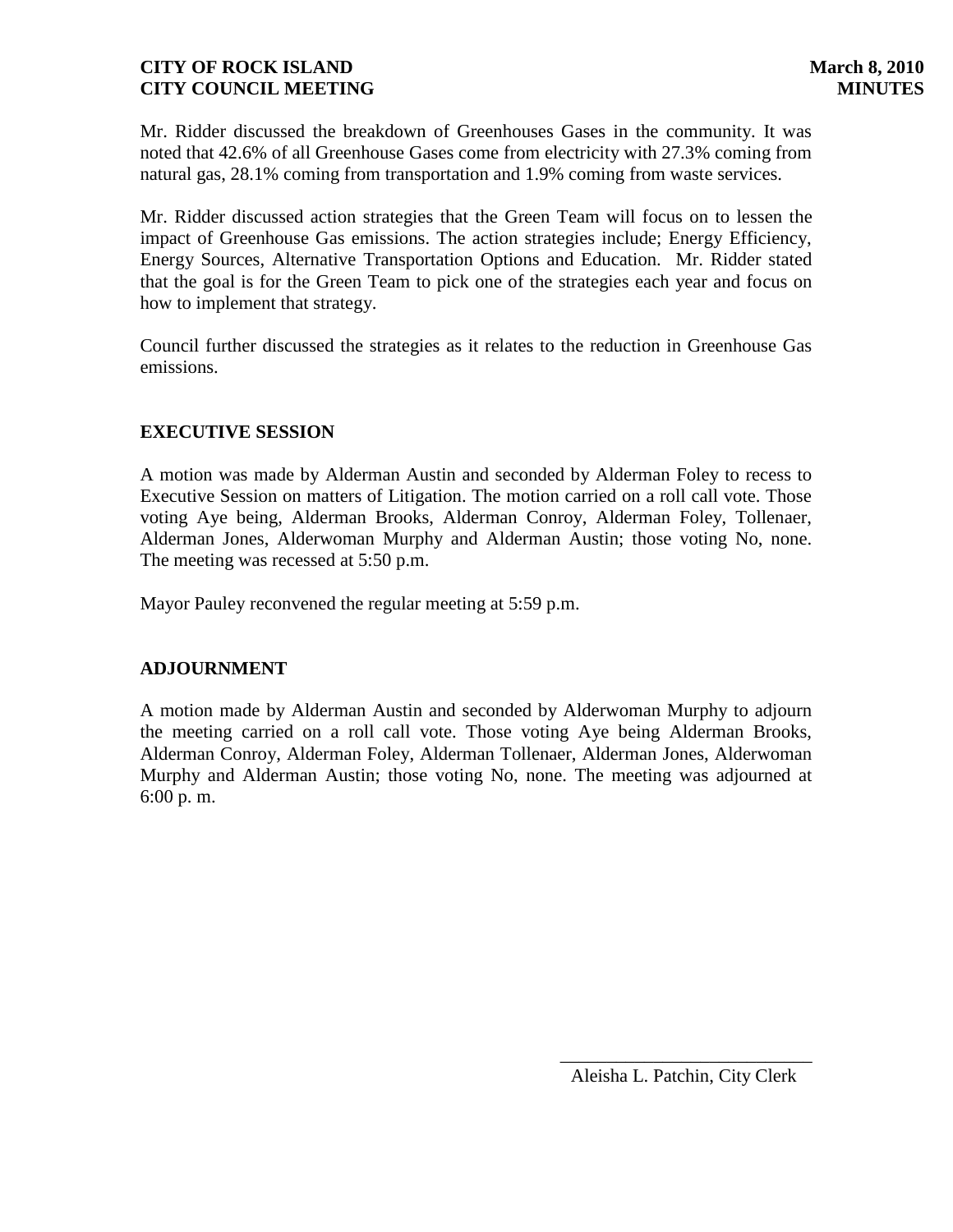Mr. Ridder discussed the breakdown of Greenhouses Gases in the community. It was noted that 42.6% of all Greenhouse Gases come from electricity with 27.3% coming from natural gas, 28.1% coming from transportation and 1.9% coming from waste services.

Mr. Ridder discussed action strategies that the Green Team will focus on to lessen the impact of Greenhouse Gas emissions. The action strategies include; Energy Efficiency, Energy Sources, Alternative Transportation Options and Education. Mr. Ridder stated that the goal is for the Green Team to pick one of the strategies each year and focus on how to implement that strategy.

Council further discussed the strategies as it relates to the reduction in Greenhouse Gas emissions.

## **EXECUTIVE SESSION**

A motion was made by Alderman Austin and seconded by Alderman Foley to recess to Executive Session on matters of Litigation. The motion carried on a roll call vote. Those voting Aye being, Alderman Brooks, Alderman Conroy, Alderman Foley, Tollenaer, Alderman Jones, Alderwoman Murphy and Alderman Austin; those voting No, none. The meeting was recessed at 5:50 p.m.

Mayor Pauley reconvened the regular meeting at 5:59 p.m.

## **ADJOURNMENT**

A motion made by Alderman Austin and seconded by Alderwoman Murphy to adjourn the meeting carried on a roll call vote. Those voting Aye being Alderman Brooks, Alderman Conroy, Alderman Foley, Alderman Tollenaer, Alderman Jones, Alderwoman Murphy and Alderman Austin; those voting No, none. The meeting was adjourned at 6:00 p. m.

\_\_\_\_\_\_\_\_\_\_\_\_\_\_\_\_\_\_\_\_\_\_\_\_\_\_\_ Aleisha L. Patchin, City Clerk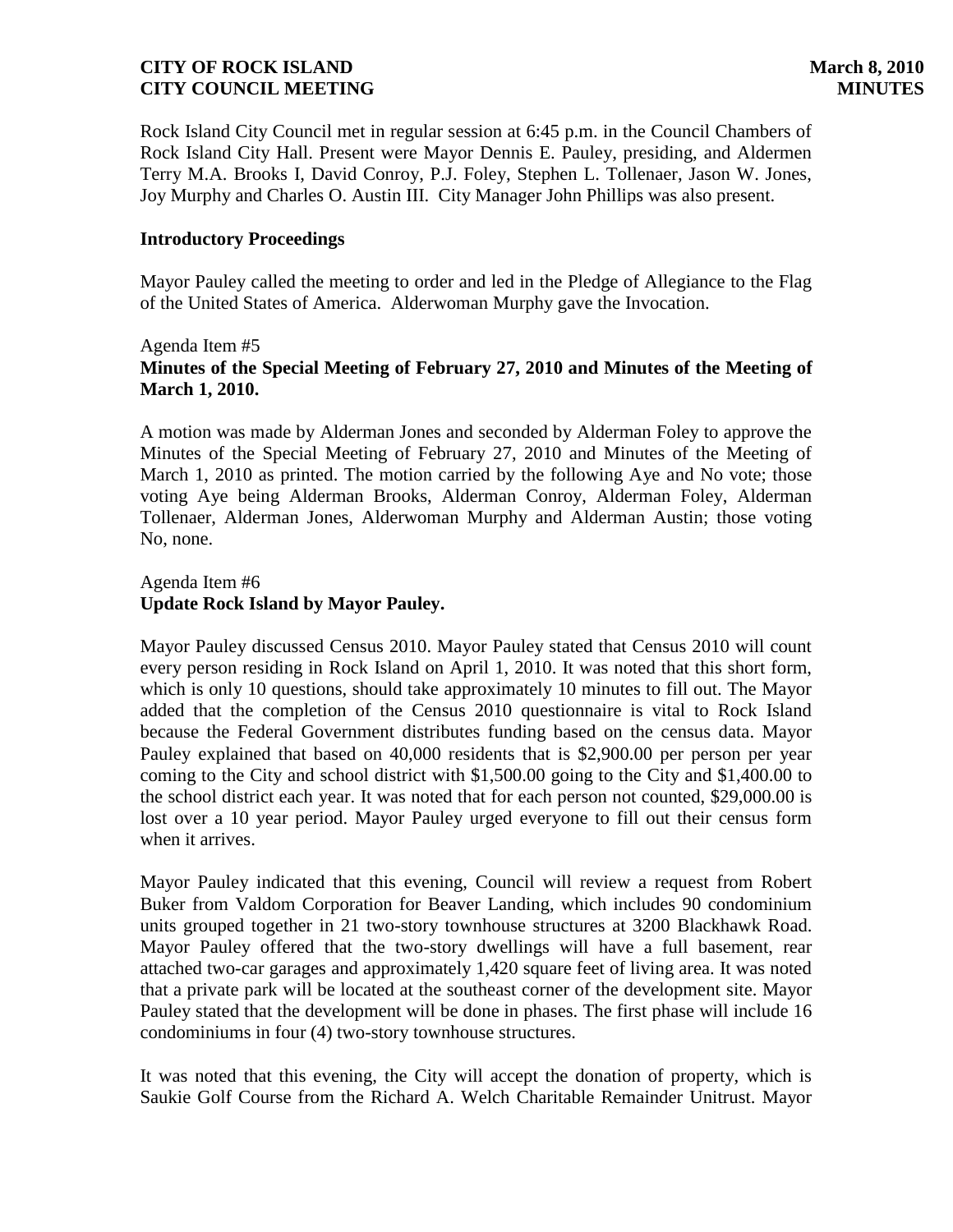Rock Island City Council met in regular session at 6:45 p.m. in the Council Chambers of Rock Island City Hall. Present were Mayor Dennis E. Pauley, presiding, and Aldermen Terry M.A. Brooks I, David Conroy, P.J. Foley, Stephen L. Tollenaer, Jason W. Jones, Joy Murphy and Charles O. Austin III. City Manager John Phillips was also present.

### **Introductory Proceedings**

Mayor Pauley called the meeting to order and led in the Pledge of Allegiance to the Flag of the United States of America. Alderwoman Murphy gave the Invocation.

### Agenda Item #5 **Minutes of the Special Meeting of February 27, 2010 and Minutes of the Meeting of March 1, 2010.**

A motion was made by Alderman Jones and seconded by Alderman Foley to approve the Minutes of the Special Meeting of February 27, 2010 and Minutes of the Meeting of March 1, 2010 as printed. The motion carried by the following Aye and No vote; those voting Aye being Alderman Brooks, Alderman Conroy, Alderman Foley, Alderman Tollenaer, Alderman Jones, Alderwoman Murphy and Alderman Austin; those voting No, none.

### Agenda Item #6 **Update Rock Island by Mayor Pauley.**

Mayor Pauley discussed Census 2010. Mayor Pauley stated that Census 2010 will count every person residing in Rock Island on April 1, 2010. It was noted that this short form, which is only 10 questions, should take approximately 10 minutes to fill out. The Mayor added that the completion of the Census 2010 questionnaire is vital to Rock Island because the Federal Government distributes funding based on the census data. Mayor Pauley explained that based on 40,000 residents that is \$2,900.00 per person per year coming to the City and school district with \$1,500.00 going to the City and \$1,400.00 to the school district each year. It was noted that for each person not counted, \$29,000.00 is lost over a 10 year period. Mayor Pauley urged everyone to fill out their census form when it arrives.

Mayor Pauley indicated that this evening, Council will review a request from Robert Buker from Valdom Corporation for Beaver Landing, which includes 90 condominium units grouped together in 21 two-story townhouse structures at 3200 Blackhawk Road. Mayor Pauley offered that the two-story dwellings will have a full basement, rear attached two-car garages and approximately 1,420 square feet of living area. It was noted that a private park will be located at the southeast corner of the development site. Mayor Pauley stated that the development will be done in phases. The first phase will include 16 condominiums in four (4) two-story townhouse structures.

It was noted that this evening, the City will accept the donation of property, which is Saukie Golf Course from the Richard A. Welch Charitable Remainder Unitrust. Mayor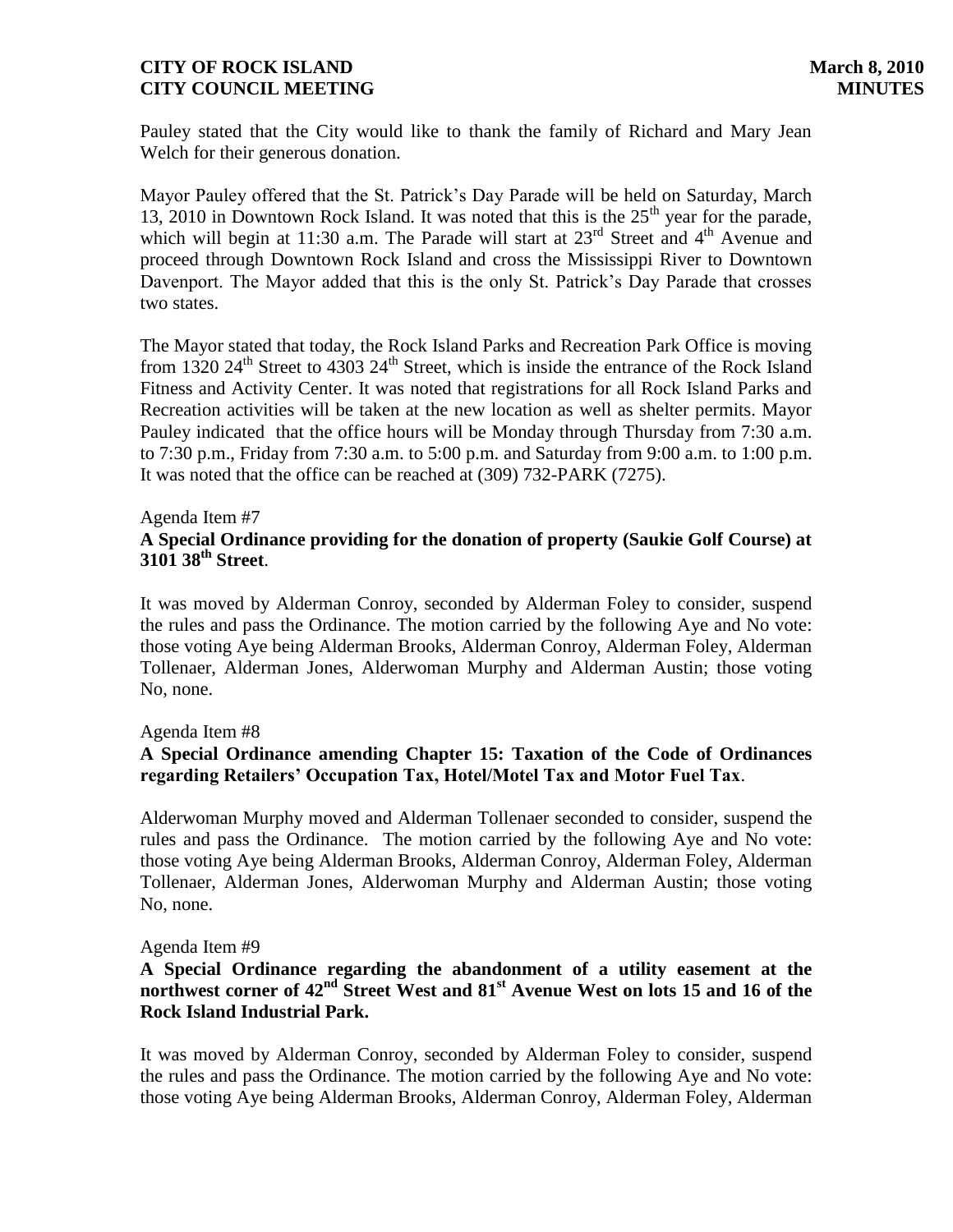Pauley stated that the City would like to thank the family of Richard and Mary Jean Welch for their generous donation.

Mayor Pauley offered that the St. Patrick's Day Parade will be held on Saturday, March 13, 2010 in Downtown Rock Island. It was noted that this is the  $25<sup>th</sup>$  year for the parade, which will begin at 11:30 a.m. The Parade will start at 23<sup>rd</sup> Street and 4<sup>th</sup> Avenue and proceed through Downtown Rock Island and cross the Mississippi River to Downtown Davenport. The Mayor added that this is the only St. Patrick's Day Parade that crosses two states.

The Mayor stated that today, the Rock Island Parks and Recreation Park Office is moving from 1320 24<sup>th</sup> Street to 4303 24<sup>th</sup> Street, which is inside the entrance of the Rock Island Fitness and Activity Center. It was noted that registrations for all Rock Island Parks and Recreation activities will be taken at the new location as well as shelter permits. Mayor Pauley indicated that the office hours will be Monday through Thursday from 7:30 a.m. to 7:30 p.m., Friday from 7:30 a.m. to 5:00 p.m. and Saturday from 9:00 a.m. to 1:00 p.m. It was noted that the office can be reached at (309) 732-PARK (7275).

### Agenda Item #7

### **A Special Ordinance providing for the donation of property (Saukie Golf Course) at 3101 38th Street**.

It was moved by Alderman Conroy, seconded by Alderman Foley to consider, suspend the rules and pass the Ordinance. The motion carried by the following Aye and No vote: those voting Aye being Alderman Brooks, Alderman Conroy, Alderman Foley, Alderman Tollenaer, Alderman Jones, Alderwoman Murphy and Alderman Austin; those voting No, none.

### Agenda Item #8

### **A Special Ordinance amending Chapter 15: Taxation of the Code of Ordinances regarding Retailers' Occupation Tax, Hotel/Motel Tax and Motor Fuel Tax**.

Alderwoman Murphy moved and Alderman Tollenaer seconded to consider, suspend the rules and pass the Ordinance. The motion carried by the following Aye and No vote: those voting Aye being Alderman Brooks, Alderman Conroy, Alderman Foley, Alderman Tollenaer, Alderman Jones, Alderwoman Murphy and Alderman Austin; those voting No, none.

### Agenda Item #9

### **A Special Ordinance regarding the abandonment of a utility easement at the northwest corner of 42nd Street West and 81st Avenue West on lots 15 and 16 of the Rock Island Industrial Park.**

It was moved by Alderman Conroy, seconded by Alderman Foley to consider, suspend the rules and pass the Ordinance. The motion carried by the following Aye and No vote: those voting Aye being Alderman Brooks, Alderman Conroy, Alderman Foley, Alderman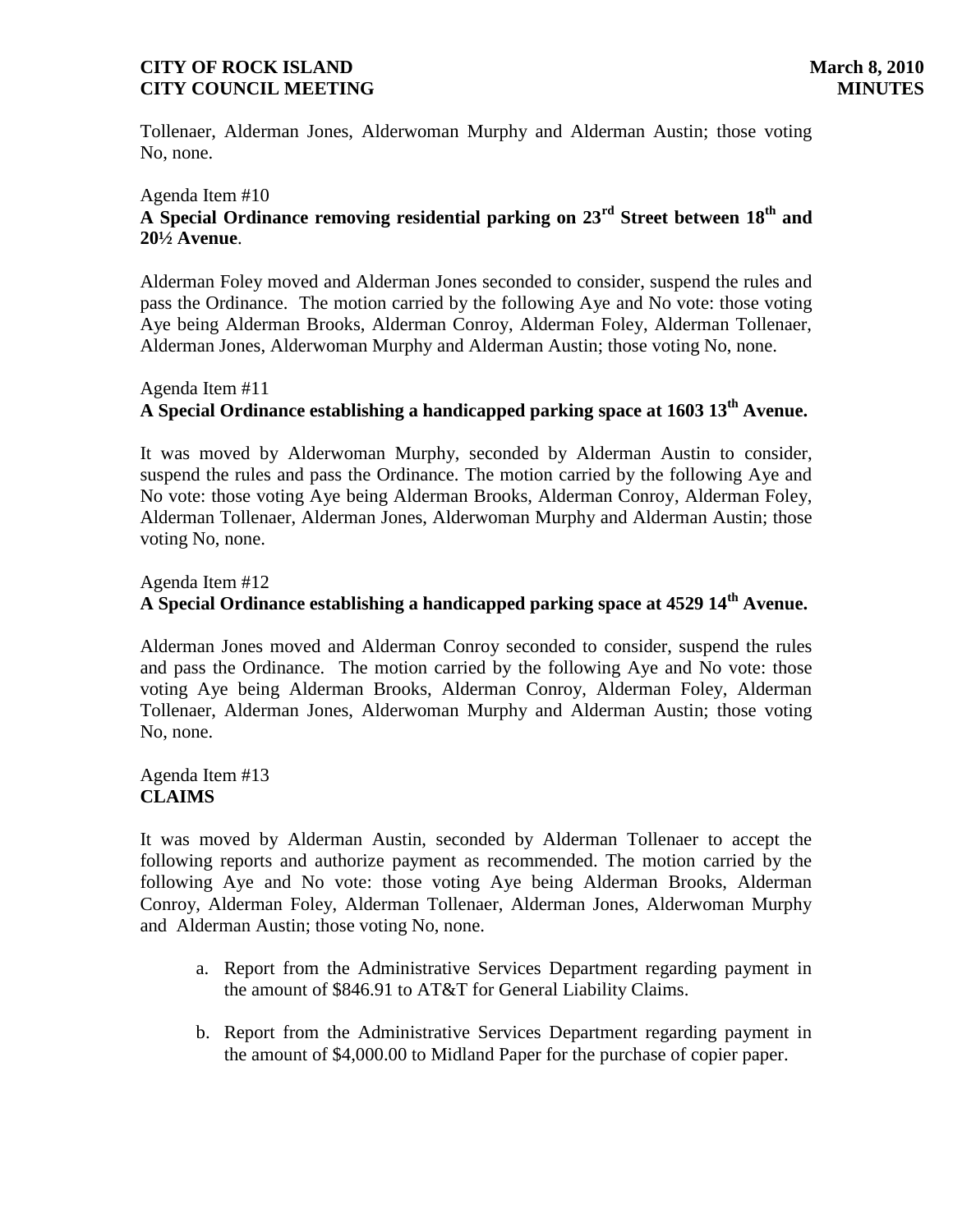Tollenaer, Alderman Jones, Alderwoman Murphy and Alderman Austin; those voting No, none.

### Agenda Item #10 **A Special Ordinance removing residential parking on 23rd Street between 18th and 20½ Avenue**.

Alderman Foley moved and Alderman Jones seconded to consider, suspend the rules and pass the Ordinance. The motion carried by the following Aye and No vote: those voting Aye being Alderman Brooks, Alderman Conroy, Alderman Foley, Alderman Tollenaer, Alderman Jones, Alderwoman Murphy and Alderman Austin; those voting No, none.

## Agenda Item #11 **A Special Ordinance establishing a handicapped parking space at 1603 13th Avenue.**

It was moved by Alderwoman Murphy, seconded by Alderman Austin to consider, suspend the rules and pass the Ordinance. The motion carried by the following Aye and No vote: those voting Aye being Alderman Brooks, Alderman Conroy, Alderman Foley, Alderman Tollenaer, Alderman Jones, Alderwoman Murphy and Alderman Austin; those voting No, none.

### Agenda Item #12

# **A Special Ordinance establishing a handicapped parking space at 4529 14th Avenue.**

Alderman Jones moved and Alderman Conroy seconded to consider, suspend the rules and pass the Ordinance. The motion carried by the following Aye and No vote: those voting Aye being Alderman Brooks, Alderman Conroy, Alderman Foley, Alderman Tollenaer, Alderman Jones, Alderwoman Murphy and Alderman Austin; those voting No, none.

### Agenda Item #13 **CLAIMS**

It was moved by Alderman Austin, seconded by Alderman Tollenaer to accept the following reports and authorize payment as recommended. The motion carried by the following Aye and No vote: those voting Aye being Alderman Brooks, Alderman Conroy, Alderman Foley, Alderman Tollenaer, Alderman Jones, Alderwoman Murphy and Alderman Austin; those voting No, none.

- a. Report from the Administrative Services Department regarding payment in the amount of \$846.91 to AT&T for General Liability Claims.
- b. Report from the Administrative Services Department regarding payment in the amount of \$4,000.00 to Midland Paper for the purchase of copier paper.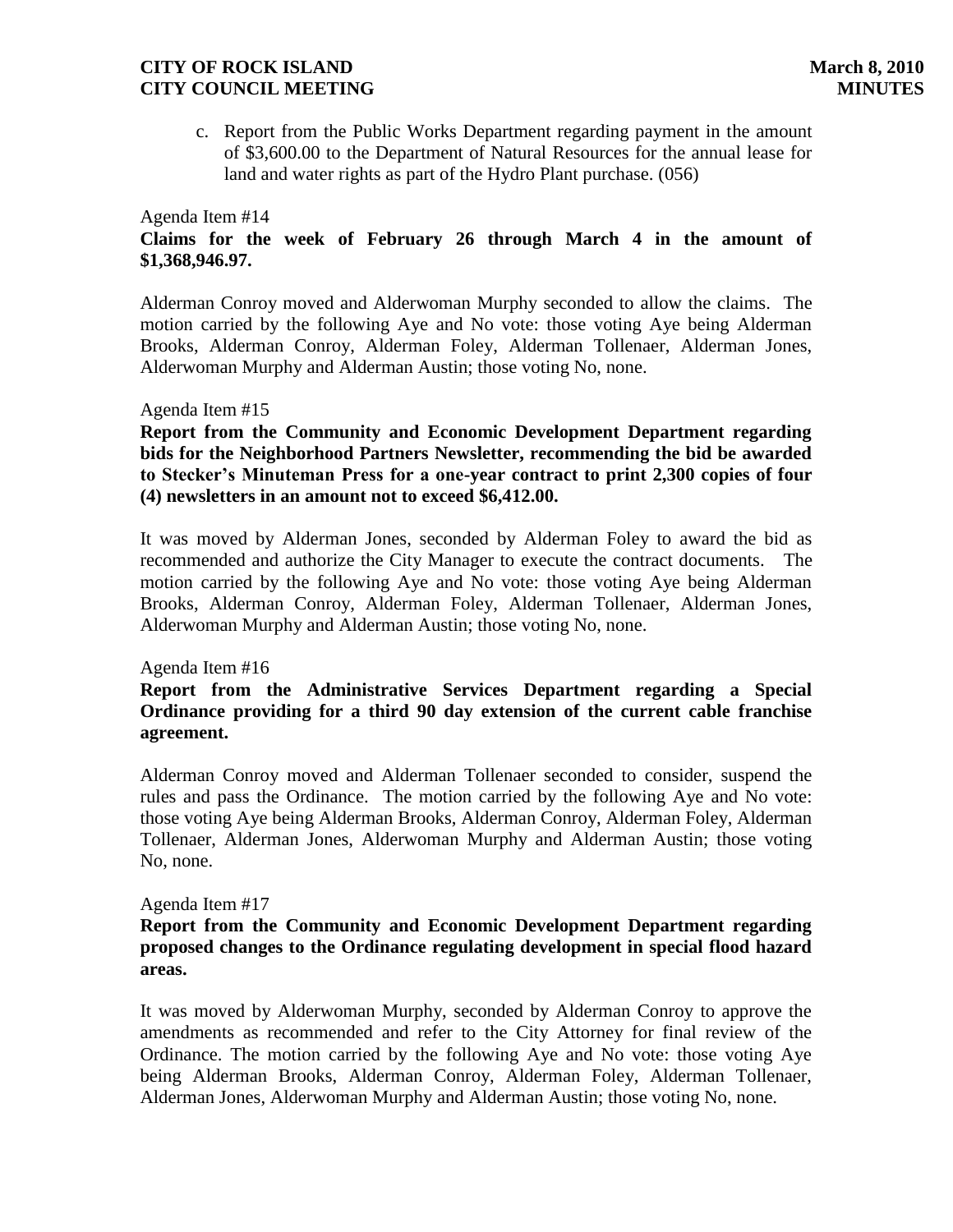c. Report from the Public Works Department regarding payment in the amount of \$3,600.00 to the Department of Natural Resources for the annual lease for land and water rights as part of the Hydro Plant purchase. (056)

### Agenda Item #14 **Claims for the week of February 26 through March 4 in the amount of \$1,368,946.97.**

Alderman Conroy moved and Alderwoman Murphy seconded to allow the claims. The motion carried by the following Aye and No vote: those voting Aye being Alderman Brooks, Alderman Conroy, Alderman Foley, Alderman Tollenaer, Alderman Jones, Alderwoman Murphy and Alderman Austin; those voting No, none.

### Agenda Item #15

**Report from the Community and Economic Development Department regarding bids for the Neighborhood Partners Newsletter, recommending the bid be awarded to Stecker's Minuteman Press for a one-year contract to print 2,300 copies of four (4) newsletters in an amount not to exceed \$6,412.00.** 

It was moved by Alderman Jones, seconded by Alderman Foley to award the bid as recommended and authorize the City Manager to execute the contract documents. The motion carried by the following Aye and No vote: those voting Aye being Alderman Brooks, Alderman Conroy, Alderman Foley, Alderman Tollenaer, Alderman Jones, Alderwoman Murphy and Alderman Austin; those voting No, none.

### Agenda Item #16

### **Report from the Administrative Services Department regarding a Special Ordinance providing for a third 90 day extension of the current cable franchise agreement.**

Alderman Conroy moved and Alderman Tollenaer seconded to consider, suspend the rules and pass the Ordinance. The motion carried by the following Aye and No vote: those voting Aye being Alderman Brooks, Alderman Conroy, Alderman Foley, Alderman Tollenaer, Alderman Jones, Alderwoman Murphy and Alderman Austin; those voting No, none.

### Agenda Item #17

## **Report from the Community and Economic Development Department regarding proposed changes to the Ordinance regulating development in special flood hazard areas.**

It was moved by Alderwoman Murphy, seconded by Alderman Conroy to approve the amendments as recommended and refer to the City Attorney for final review of the Ordinance. The motion carried by the following Aye and No vote: those voting Aye being Alderman Brooks, Alderman Conroy, Alderman Foley, Alderman Tollenaer, Alderman Jones, Alderwoman Murphy and Alderman Austin; those voting No, none.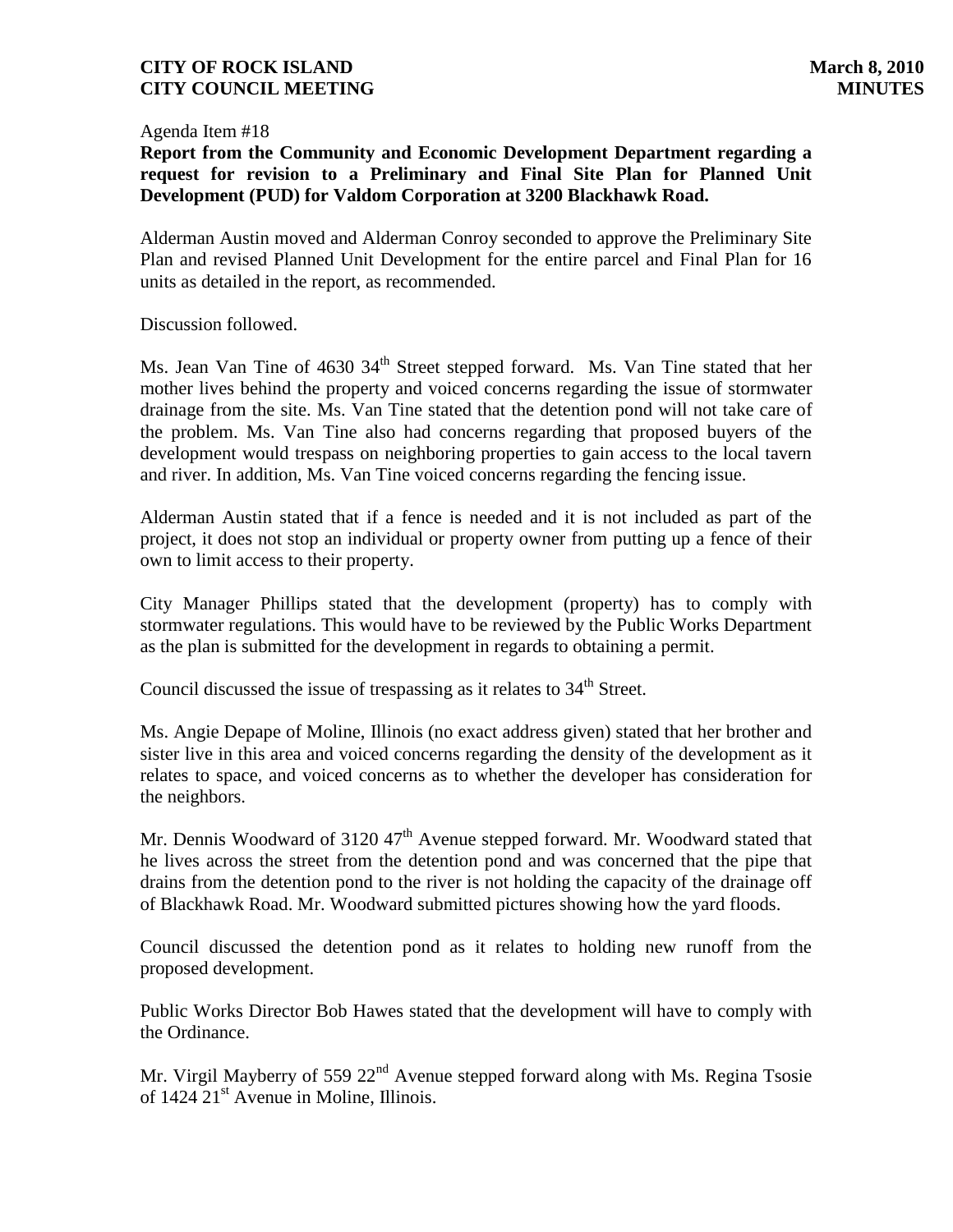Agenda Item #18

**Report from the Community and Economic Development Department regarding a request for revision to a Preliminary and Final Site Plan for Planned Unit Development (PUD) for Valdom Corporation at 3200 Blackhawk Road.**

Alderman Austin moved and Alderman Conroy seconded to approve the Preliminary Site Plan and revised Planned Unit Development for the entire parcel and Final Plan for 16 units as detailed in the report, as recommended.

Discussion followed.

Ms. Jean Van Tine of 4630 34<sup>th</sup> Street stepped forward. Ms. Van Tine stated that her mother lives behind the property and voiced concerns regarding the issue of stormwater drainage from the site. Ms. Van Tine stated that the detention pond will not take care of the problem. Ms. Van Tine also had concerns regarding that proposed buyers of the development would trespass on neighboring properties to gain access to the local tavern and river. In addition, Ms. Van Tine voiced concerns regarding the fencing issue.

Alderman Austin stated that if a fence is needed and it is not included as part of the project, it does not stop an individual or property owner from putting up a fence of their own to limit access to their property.

City Manager Phillips stated that the development (property) has to comply with stormwater regulations. This would have to be reviewed by the Public Works Department as the plan is submitted for the development in regards to obtaining a permit.

Council discussed the issue of trespassing as it relates to  $34<sup>th</sup>$  Street.

Ms. Angie Depape of Moline, Illinois (no exact address given) stated that her brother and sister live in this area and voiced concerns regarding the density of the development as it relates to space, and voiced concerns as to whether the developer has consideration for the neighbors.

Mr. Dennis Woodward of 3120  $47<sup>th</sup>$  Avenue stepped forward. Mr. Woodward stated that he lives across the street from the detention pond and was concerned that the pipe that drains from the detention pond to the river is not holding the capacity of the drainage off of Blackhawk Road. Mr. Woodward submitted pictures showing how the yard floods.

Council discussed the detention pond as it relates to holding new runoff from the proposed development.

Public Works Director Bob Hawes stated that the development will have to comply with the Ordinance.

Mr. Virgil Mayberry of 559  $22<sup>nd</sup>$  Avenue stepped forward along with Ms. Regina Tsosie of 1424 21<sup>st</sup> Avenue in Moline, Illinois.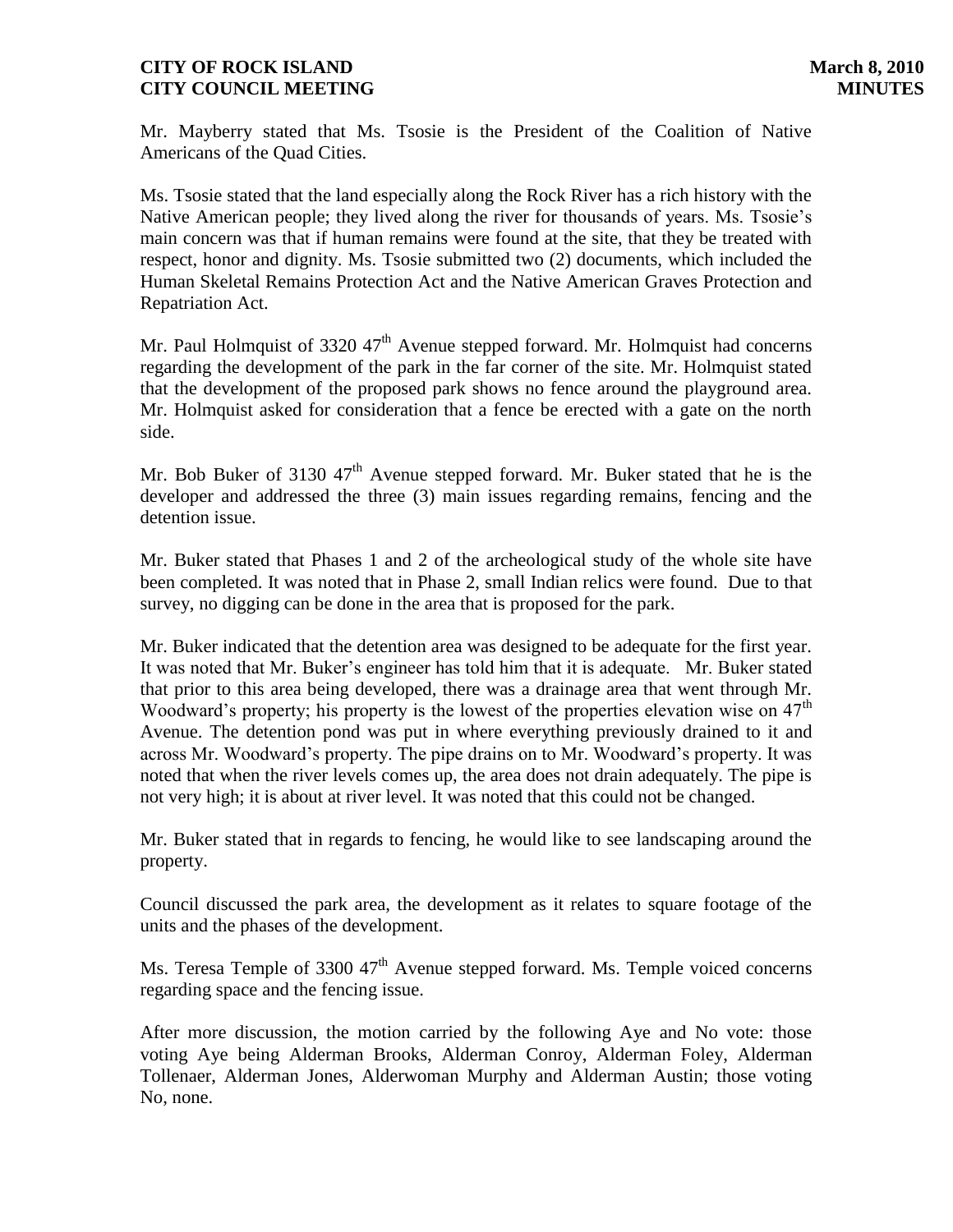Mr. Mayberry stated that Ms. Tsosie is the President of the Coalition of Native Americans of the Quad Cities.

Ms. Tsosie stated that the land especially along the Rock River has a rich history with the Native American people; they lived along the river for thousands of years. Ms. Tsosie's main concern was that if human remains were found at the site, that they be treated with respect, honor and dignity. Ms. Tsosie submitted two (2) documents, which included the Human Skeletal Remains Protection Act and the Native American Graves Protection and Repatriation Act.

Mr. Paul Holmquist of 3320 47<sup>th</sup> Avenue stepped forward. Mr. Holmquist had concerns regarding the development of the park in the far corner of the site. Mr. Holmquist stated that the development of the proposed park shows no fence around the playground area. Mr. Holmquist asked for consideration that a fence be erected with a gate on the north side.

Mr. Bob Buker of 3130  $47<sup>th</sup>$  Avenue stepped forward. Mr. Buker stated that he is the developer and addressed the three (3) main issues regarding remains, fencing and the detention issue.

Mr. Buker stated that Phases 1 and 2 of the archeological study of the whole site have been completed. It was noted that in Phase 2, small Indian relics were found. Due to that survey, no digging can be done in the area that is proposed for the park.

Mr. Buker indicated that the detention area was designed to be adequate for the first year. It was noted that Mr. Buker's engineer has told him that it is adequate. Mr. Buker stated that prior to this area being developed, there was a drainage area that went through Mr. Woodward's property; his property is the lowest of the properties elevation wise on  $47<sup>th</sup>$ Avenue. The detention pond was put in where everything previously drained to it and across Mr. Woodward's property. The pipe drains on to Mr. Woodward's property. It was noted that when the river levels comes up, the area does not drain adequately. The pipe is not very high; it is about at river level. It was noted that this could not be changed.

Mr. Buker stated that in regards to fencing, he would like to see landscaping around the property.

Council discussed the park area, the development as it relates to square footage of the units and the phases of the development.

Ms. Teresa Temple of  $3300 \frac{47^{\text{th}}}{9}$  Avenue stepped forward. Ms. Temple voiced concerns regarding space and the fencing issue.

After more discussion, the motion carried by the following Aye and No vote: those voting Aye being Alderman Brooks, Alderman Conroy, Alderman Foley, Alderman Tollenaer, Alderman Jones, Alderwoman Murphy and Alderman Austin; those voting No, none.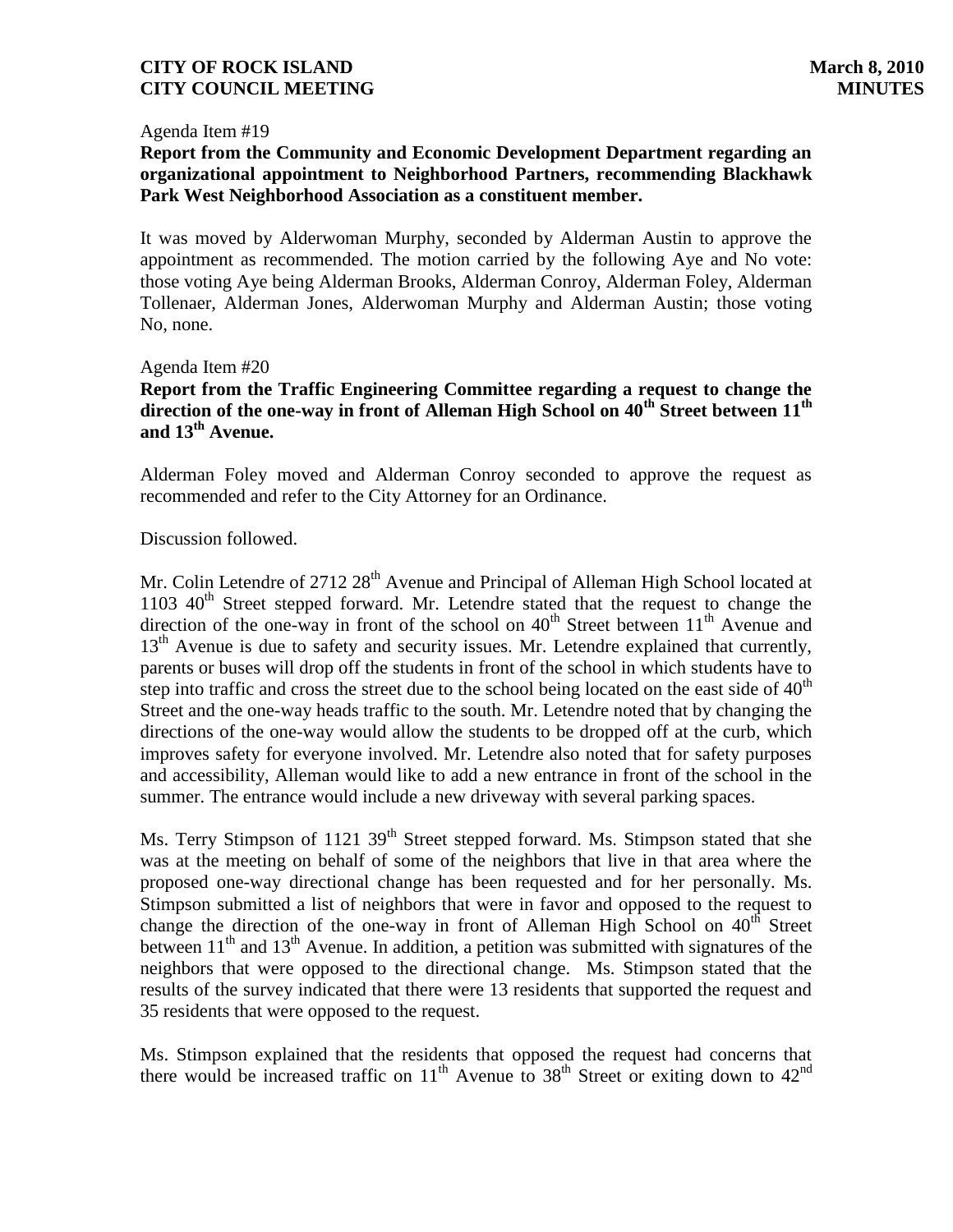### Agenda Item #19

**Report from the Community and Economic Development Department regarding an organizational appointment to Neighborhood Partners, recommending Blackhawk Park West Neighborhood Association as a constituent member.**

It was moved by Alderwoman Murphy, seconded by Alderman Austin to approve the appointment as recommended. The motion carried by the following Aye and No vote: those voting Aye being Alderman Brooks, Alderman Conroy, Alderman Foley, Alderman Tollenaer, Alderman Jones, Alderwoman Murphy and Alderman Austin; those voting No, none.

### Agenda Item #20

## **Report from the Traffic Engineering Committee regarding a request to change the direction of the one-way in front of Alleman High School on 40th Street between 11th and 13th Avenue.**

Alderman Foley moved and Alderman Conroy seconded to approve the request as recommended and refer to the City Attorney for an Ordinance.

### Discussion followed.

Mr. Colin Letendre of  $2712 28<sup>th</sup>$  Avenue and Principal of Alleman High School located at  $1103$  40<sup>th</sup> Street stepped forward. Mr. Letendre stated that the request to change the direction of the one-way in front of the school on  $40<sup>th</sup>$  Street between  $11<sup>th</sup>$  Avenue and  $13<sup>th</sup>$  Avenue is due to safety and security issues. Mr. Letendre explained that currently, parents or buses will drop off the students in front of the school in which students have to step into traffic and cross the street due to the school being located on the east side of  $40<sup>th</sup>$ Street and the one-way heads traffic to the south. Mr. Letendre noted that by changing the directions of the one-way would allow the students to be dropped off at the curb, which improves safety for everyone involved. Mr. Letendre also noted that for safety purposes and accessibility, Alleman would like to add a new entrance in front of the school in the summer. The entrance would include a new driveway with several parking spaces.

Ms. Terry Stimpson of 1121 39<sup>th</sup> Street stepped forward. Ms. Stimpson stated that she was at the meeting on behalf of some of the neighbors that live in that area where the proposed one-way directional change has been requested and for her personally. Ms. Stimpson submitted a list of neighbors that were in favor and opposed to the request to change the direction of the one-way in front of Alleman High School on  $40<sup>th</sup>$  Street between  $11<sup>th</sup>$  and  $13<sup>th</sup>$  Avenue. In addition, a petition was submitted with signatures of the neighbors that were opposed to the directional change. Ms. Stimpson stated that the results of the survey indicated that there were 13 residents that supported the request and 35 residents that were opposed to the request.

Ms. Stimpson explained that the residents that opposed the request had concerns that there would be increased traffic on  $11<sup>th</sup>$  Avenue to 38<sup>th</sup> Street or exiting down to 42<sup>nd</sup>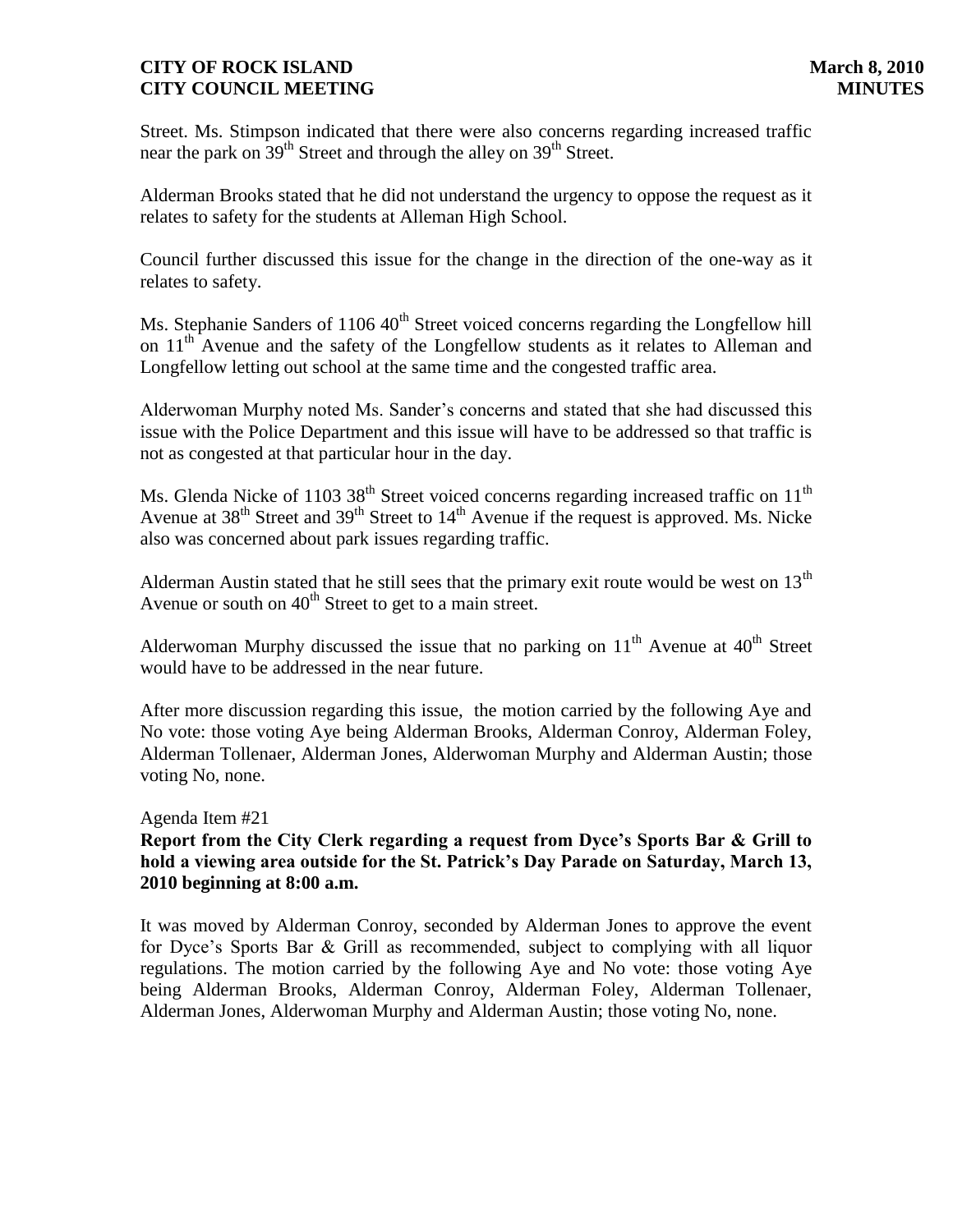Street. Ms. Stimpson indicated that there were also concerns regarding increased traffic near the park on  $39<sup>th</sup>$  Street and through the alley on  $39<sup>th</sup>$  Street.

Alderman Brooks stated that he did not understand the urgency to oppose the request as it relates to safety for the students at Alleman High School.

Council further discussed this issue for the change in the direction of the one-way as it relates to safety.

Ms. Stephanie Sanders of 1106 40<sup>th</sup> Street voiced concerns regarding the Longfellow hill on 11<sup>th</sup> Avenue and the safety of the Longfellow students as it relates to Alleman and Longfellow letting out school at the same time and the congested traffic area.

Alderwoman Murphy noted Ms. Sander's concerns and stated that she had discussed this issue with the Police Department and this issue will have to be addressed so that traffic is not as congested at that particular hour in the day.

Ms. Glenda Nicke of 1103 38<sup>th</sup> Street voiced concerns regarding increased traffic on  $11<sup>th</sup>$ Avenue at  $38<sup>th</sup>$  Street and  $39<sup>th</sup>$  Street to  $14<sup>th</sup>$  Avenue if the request is approved. Ms. Nicke also was concerned about park issues regarding traffic.

Alderman Austin stated that he still sees that the primary exit route would be west on  $13<sup>th</sup>$ Avenue or south on  $40<sup>th</sup>$  Street to get to a main street.

Alderwoman Murphy discussed the issue that no parking on  $11<sup>th</sup>$  Avenue at  $40<sup>th</sup>$  Street would have to be addressed in the near future.

After more discussion regarding this issue, the motion carried by the following Aye and No vote: those voting Aye being Alderman Brooks, Alderman Conroy, Alderman Foley, Alderman Tollenaer, Alderman Jones, Alderwoman Murphy and Alderman Austin; those voting No, none.

### Agenda Item #21

### **Report from the City Clerk regarding a request from Dyce's Sports Bar & Grill to hold a viewing area outside for the St. Patrick's Day Parade on Saturday, March 13, 2010 beginning at 8:00 a.m.**

It was moved by Alderman Conroy, seconded by Alderman Jones to approve the event for Dyce's Sports Bar & Grill as recommended, subject to complying with all liquor regulations. The motion carried by the following Aye and No vote: those voting Aye being Alderman Brooks, Alderman Conroy, Alderman Foley, Alderman Tollenaer, Alderman Jones, Alderwoman Murphy and Alderman Austin; those voting No, none.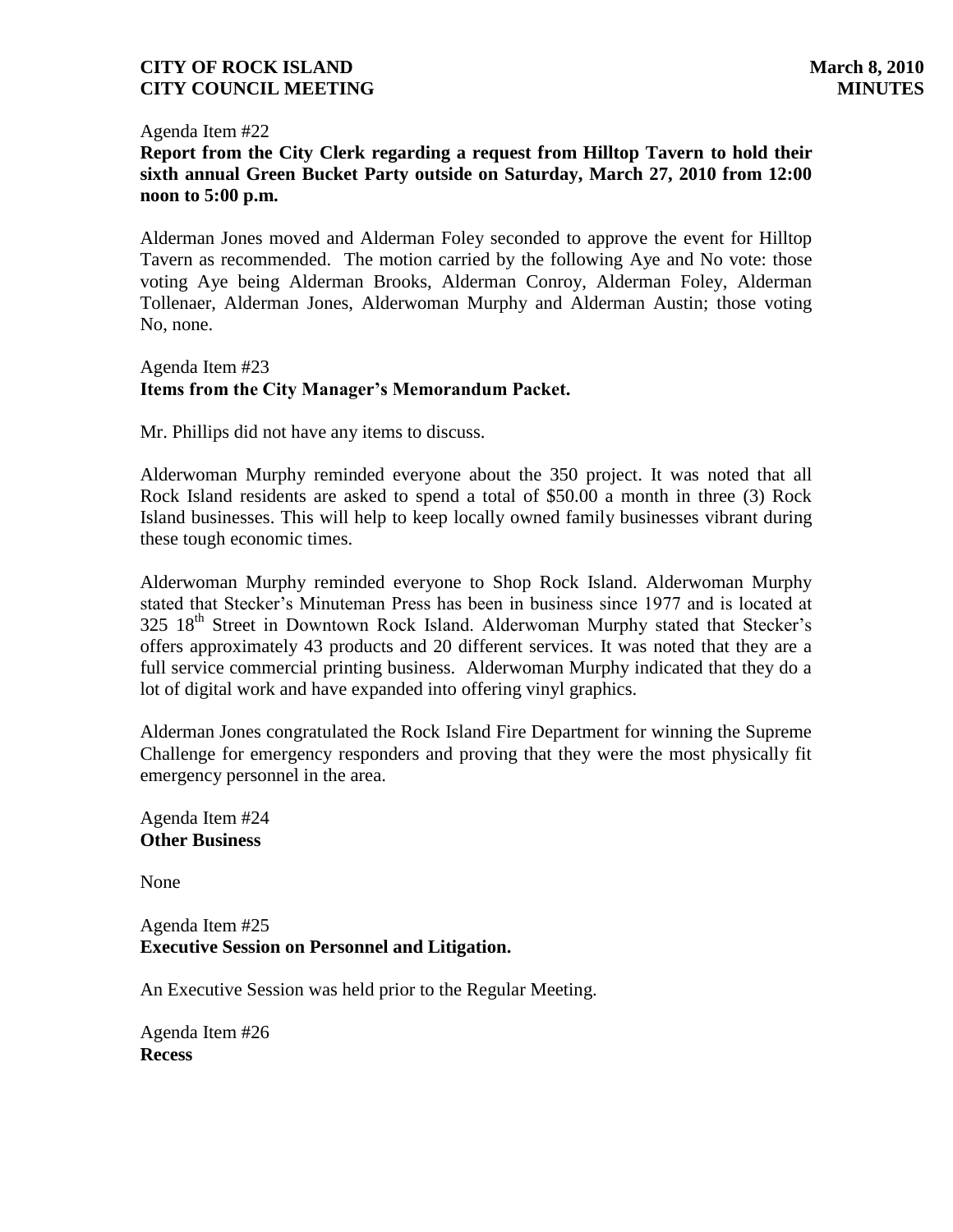Agenda Item #22

**Report from the City Clerk regarding a request from Hilltop Tavern to hold their sixth annual Green Bucket Party outside on Saturday, March 27, 2010 from 12:00 noon to 5:00 p.m.**

Alderman Jones moved and Alderman Foley seconded to approve the event for Hilltop Tavern as recommended. The motion carried by the following Aye and No vote: those voting Aye being Alderman Brooks, Alderman Conroy, Alderman Foley, Alderman Tollenaer, Alderman Jones, Alderwoman Murphy and Alderman Austin; those voting No, none.

### Agenda Item #23 **Items from the City Manager's Memorandum Packet.**

Mr. Phillips did not have any items to discuss.

Alderwoman Murphy reminded everyone about the 350 project. It was noted that all Rock Island residents are asked to spend a total of \$50.00 a month in three (3) Rock Island businesses. This will help to keep locally owned family businesses vibrant during these tough economic times.

Alderwoman Murphy reminded everyone to Shop Rock Island. Alderwoman Murphy stated that Stecker's Minuteman Press has been in business since 1977 and is located at 325 18<sup>th</sup> Street in Downtown Rock Island. Alderwoman Murphy stated that Stecker's offers approximately 43 products and 20 different services. It was noted that they are a full service commercial printing business. Alderwoman Murphy indicated that they do a lot of digital work and have expanded into offering vinyl graphics.

Alderman Jones congratulated the Rock Island Fire Department for winning the Supreme Challenge for emergency responders and proving that they were the most physically fit emergency personnel in the area.

Agenda Item #24 **Other Business**

None

Agenda Item #25 **Executive Session on Personnel and Litigation.** 

An Executive Session was held prior to the Regular Meeting.

Agenda Item #26 **Recess**